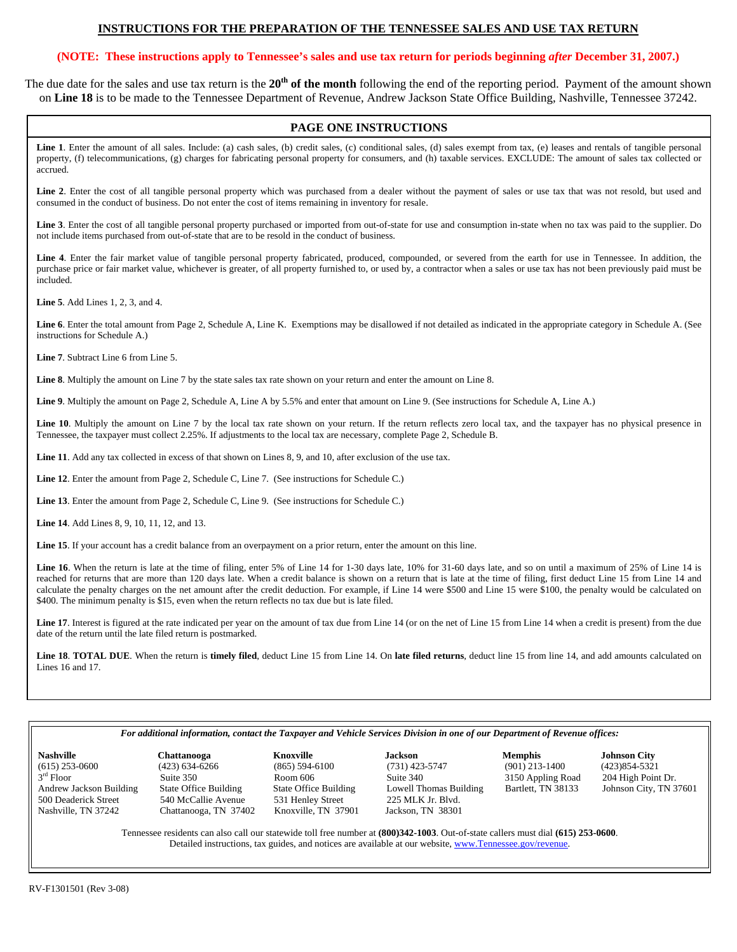# **INSTRUCTIONS FOR THE PREPARATION OF THE TENNESSEE SALES AND USE TAX RETURN**

# **(NOTE: These instructions apply to Tennessee's sales and use tax return for periods beginning** *after* **December 31, 2007.)**

The due date for the sales and use tax return is the **20th of the month** following the end of the reporting period. Payment of the amount shown on **Line 18** is to be made to the Tennessee Department of Revenue, Andrew Jackson State Office Building, Nashville, Tennessee 37242.

# **PAGE ONE INSTRUCTIONS**

Line 1. Enter the amount of all sales. Include: (a) cash sales, (b) credit sales, (c) conditional sales, (d) sales exempt from tax, (e) leases and rentals of tangible personal property, (f) telecommunications, (g) charges for fabricating personal property for consumers, and (h) taxable services. EXCLUDE: The amount of sales tax collected or accrued.

Line 2. Enter the cost of all tangible personal property which was purchased from a dealer without the payment of sales or use tax that was not resold, but used and consumed in the conduct of business. Do not enter the cost of items remaining in inventory for resale.

**Line 3**. Enter the cost of all tangible personal property purchased or imported from out-of-state for use and consumption in-state when no tax was paid to the supplier. Do not include items purchased from out-of-state that are to be resold in the conduct of business.

**Line 4**. Enter the fair market value of tangible personal property fabricated, produced, compounded, or severed from the earth for use in Tennessee. In addition, the purchase price or fair market value, whichever is greater, of all property furnished to, or used by, a contractor when a sales or use tax has not been previously paid must be included.

**Line 5**. Add Lines 1, 2, 3, and 4.

**Line 6**. Enter the total amount from Page 2, Schedule A, Line K. Exemptions may be disallowed if not detailed as indicated in the appropriate category in Schedule A. (See instructions for Schedule A.)

**Line 7**. Subtract Line 6 from Line 5.

**Line 8**. Multiply the amount on Line 7 by the state sales tax rate shown on your return and enter the amount on Line 8.

**Line 9**. Multiply the amount on Page 2, Schedule A, Line A by 5.5% and enter that amount on Line 9. (See instructions for Schedule A, Line A.)

Line 10. Multiply the amount on Line 7 by the local tax rate shown on your return. If the return reflects zero local tax, and the taxpayer has no physical presence in Tennessee, the taxpayer must collect 2.25%. If adjustments to the local tax are necessary, complete Page 2, Schedule B.

**Line 11**. Add any tax collected in excess of that shown on Lines 8, 9, and 10, after exclusion of the use tax.

**Line 12**. Enter the amount from Page 2, Schedule C, Line 7. (See instructions for Schedule C.)

**Line 13**. Enter the amount from Page 2, Schedule C, Line 9. (See instructions for Schedule C.)

**Line 14**. Add Lines 8, 9, 10, 11, 12, and 13.

**Line 15**. If your account has a credit balance from an overpayment on a prior return, enter the amount on this line.

Line 16. When the return is late at the time of filing, enter 5% of Line 14 for 1-30 days late, 10% for 31-60 days late, and so on until a maximum of 25% of Line 14 is reached for returns that are more than 120 days late. When a credit balance is shown on a return that is late at the time of filing, first deduct Line 15 from Line 14 and calculate the penalty charges on the net amount after the credit deduction. For example, if Line 14 were \$500 and Line 15 were \$100, the penalty would be calculated on \$400. The minimum penalty is \$15, even when the return reflects no tax due but is late filed.

Line 17. Interest is figured at the rate indicated per year on the amount of tax due from Line 14 (or on the net of Line 15 from Line 14 when a credit is present) from the due date of the return until the late filed return is postmarked.

**Line 18**. **TOTAL DUE**. When the return is **timely filed**, deduct Line 15 from Line 14. On **late filed returns**, deduct line 15 from line 14, and add amounts calculated on Lines 16 and 17.

#### *For additional information, contact the Taxpayer and Vehicle Services Division in one of our Department of Revenue offices:*

| <b>Nasnville</b>        |
|-------------------------|
| $(615)$ 253-0600        |
| $3rd$ Floor             |
| Andrew Jackson Building |
| 500 Deaderick Street    |
| Nashville. TN 37242     |

(615) 253-0600 (423) 634-6266 (865) 594-6100 (731) 423-5747 (901) 213-1400 (423)854-5321 Suite 350 Room 606 Suite 340 3150 Appling Road 204 High Point Dr.<br>
State Office Building State Office Building Lowell Thomas Building Bartlett, TN 38133 Johnson City, TN 3 540 McCallie Avenue 531 Henley Street 225 MLK Jr. Blvd.<br>Chattanooga, TN 37402 Knoxville, TN 37901 Jackson, TN 38301 Chattanooga, TN 37402 Knoxville, TN 37901

State Office Building Lowell Thomas Building Bartlett, TN 38133 Johnson City, TN 37601<br>531 Henley Street 225 MLK Jr. Blvd.

**Nashville Chattanooga Knoxville Jackson Memphis Johnson City** 

Tennessee residents can also call our statewide toll free number at **(800)342-1003**. Out-of-state callers must dial **(615) 253-0600**. Detailed instructions, tax guides, and notices are available at our website, www.Tennessee.gov/revenue.